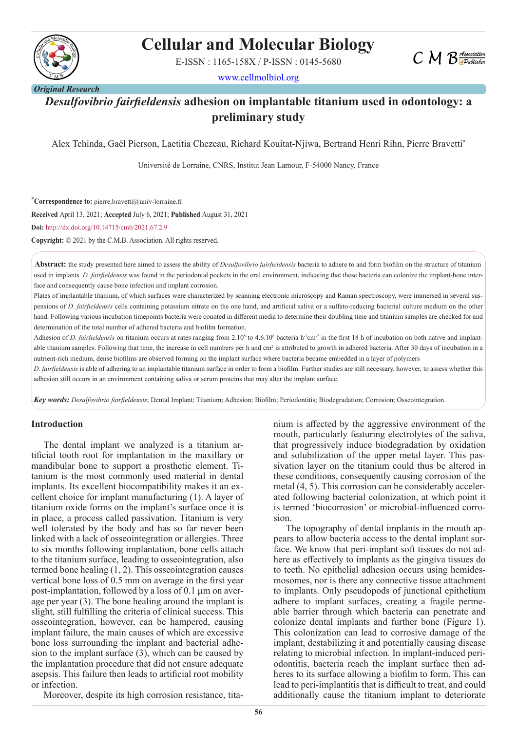

# **Cellular and Molecular Biology**

E-ISSN : 1165-158X / P-ISSN : 0145-5680

www.cellmolbiol.org

# *Desulfovibrio fairfieldensis* **adhesion on implantable titanium used in odontology: a preliminary study**

Alex Tchinda, Gaël Pierson, Laetitia Chezeau, Richard Kouitat-Njiwa, Bertrand Henri Rihn, Pierre Bravetti\*

Université de Lorraine, CNRS, Institut Jean Lamour, F-54000 Nancy, France

\* **Correspondence to:** pierre.bravetti@univ-lorraine.fr

**Received** April 13, 2021; **Accepted** July 6, 2021; **Published** August 31, 2021

**Doi:** http://dx.doi.org/10.14715/cmb/2021.67.2.9

**Copyright:** © 2021 by the C.M.B. Association. All rights reserved.

**Abstract:** the study presented here aimed to assess the ability of *Desulfovibrio fairfieldensis* bacteria to adhere to and form biofilm on the structure of titanium used in implants. *D. fairfieldensis* was found in the periodontal pockets in the oral environment, indicating that these bacteria can colonize the implant-bone interface and consequently cause bone infection and implant corrosion.

Plates of implantable titanium, of which surfaces were characterized by scanning electronic microscopy and Raman spectroscopy, were immersed in several suspensions of *D. fairfieldensis* cells containing potassium nitrate on the one hand, and artificial saliva or a sulfato-reducing bacterial culture medium on the other hand. Following various incubation timepoints bacteria were counted in different media to determine their doubling time and titanium samples are checked for and determination of the total number of adhered bacteria and biofilm formation.

Adhesion of *D. fairfieldensis* on titanium occurs at rates ranging from 2.10<sup>5</sup> to 4.6.10<sup>6</sup> bacteria h<sup>-1</sup>cm<sup>-2</sup> in the first 18 h of incubation on both native and implantable titanium samples. Following that time, the increase in cell numbers per h and cm<sup>2</sup> is attributed to growth in adhered bacteria. After 30 days of incubation in a nutrient-rich medium, dense biofilms are observed forming on the implant surface where bacteria became embedded in a layer of polymers

*D. fairfieldensis* is able of adhering to an implantable titanium surface in order to form a biofilm. Further studies are still necessary, however, to assess whether this adhesion still occurs in an environment containing saliva or serum proteins that may alter the implant surface.

*Key words: Desulfovibrio fairfieldensis*; Dental Implant; Titanium; Adhesion; Biofilm; Periodontitis; Biodegradation; Corrosion; Osseointegration.

#### **Introduction**

The dental implant we analyzed is a titanium artificial tooth root for implantation in the maxillary or mandibular bone to support a prosthetic element. Titanium is the most commonly used material in dental implants. Its excellent biocompatibility makes it an excellent choice for implant manufacturing (1). A layer of titanium oxide forms on the implant's surface once it is in place, a process called passivation. Titanium is very well tolerated by the body and has so far never been linked with a lack of osseointegration or allergies. Three to six months following implantation, bone cells attach to the titanium surface, leading to osseointegration, also termed bone healing (1, 2). This osseointegration causes vertical bone loss of 0.5 mm on average in the first year post-implantation, followed by a loss of 0.1 µm on average per year (3). The bone healing around the implant is slight, still fulfilling the criteria of clinical success. This osseointegration, however, can be hampered, causing implant failure, the main causes of which are excessive bone loss surrounding the implant and bacterial adhesion to the implant surface (3), which can be caused by the implantation procedure that did not ensure adequate asepsis. This failure then leads to artificial root mobility or infection.

Moreover, despite its high corrosion resistance, tita-

nium is affected by the aggressive environment of the mouth, particularly featuring electrolytes of the saliva, that progressively induce biodegradation by oxidation and solubilization of the upper metal layer. This passivation layer on the titanium could thus be altered in these conditions, consequently causing corrosion of the metal (4, 5). This corrosion can be considerably accelerated following bacterial colonization, at which point it is termed 'biocorrosion' or microbial-influenced corrosion.

 $CMB$  *Association* 

The topography of dental implants in the mouth appears to allow bacteria access to the dental implant surface. We know that peri-implant soft tissues do not adhere as effectively to implants as the gingiva tissues do to teeth. No epithelial adhesion occurs using hemidesmosomes, nor is there any connective tissue attachment to implants. Only pseudopods of junctional epithelium adhere to implant surfaces, creating a fragile permeable barrier through which bacteria can penetrate and colonize dental implants and further bone (Figure 1). This colonization can lead to corrosive damage of the implant, destabilizing it and potentially causing disease relating to microbial infection. In implant-induced periodontitis, bacteria reach the implant surface then adheres to its surface allowing a biofilm to form. This can lead to peri-implantitis that is difficult to treat, and could additionally cause the titanium implant to deteriorate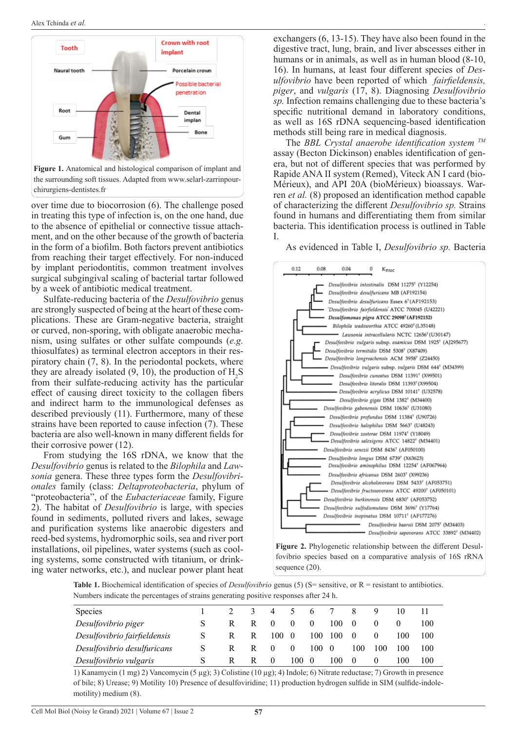

**Figure 1.** Anatomical and histological comparison of implant and the surrounding soft tissues. Adapted from www.selarl-zarrinpourchirurgiens-dentistes.fr

over time due to biocorrosion (6). The challenge posed in treating this type of infection is, on the one hand, due to the absence of epithelial or connective tissue attachment, and on the other because of the growth of bacteria in the form of a biofilm. Both factors prevent antibiotics from reaching their target effectively. For non-induced by implant periodontitis, common treatment involves surgical subgingival scaling of bacterial tartar followed by a week of antibiotic medical treatment.

Sulfate-reducing bacteria of the *Desulfovibrio* genus are strongly suspected of being at the heart of these complications. These are Gram-negative bacteria, straight or curved, non-sporing, with obligate anaerobic mechanism, using sulfates or other sulfate compounds (*e.g.* thiosulfates) as terminal electron acceptors in their respiratory chain (7, 8). In the periodontal pockets, where they are already isolated (9, 10), the production of  $H_2S$ from their sulfate-reducing activity has the particular effect of causing direct toxicity to the collagen fibers and indirect harm to the immunological defenses as described previously (11). Furthermore, many of these strains have been reported to cause infection (7). These bacteria are also well-known in many different fields for their corrosive power (12).

From studying the 16S rDNA, we know that the *Desulfovibrio* genus is related to the *Bilophila* and *Lawsonia* genera. These three types form the *Desulfovibrionales* family (class: *Deltaproteobacteria*, phylum of "proteobacteria", of the *Eubacteriaceae* family, Figure 2). The habitat of *Desulfovibrio* is large, with species found in sediments, polluted rivers and lakes, sewage and purification systems like anaerobic digesters and reed-bed systems, hydromorphic soils, sea and river port installations, oil pipelines, water systems (such as cooling systems, some constructed with titanium, or drinking water networks, etc.), and nuclear power plant heat

exchangers (6, 13-15). They have also been found in the digestive tract, lung, brain, and liver abscesses either in humans or in animals, as well as in human blood (8-10, 16). In humans, at least four different species of *Desulfovibrio* have been reported of which *fairfieldensis, piger*, and *vulgaris* (17, 8). Diagnosing *Desulfovibrio sp.* Infection remains challenging due to these bacteria's specific nutritional demand in laboratory conditions, as well as 16S rDNA sequencing-based identification methods still being rare in medical diagnosis.

.

The *BBL Crystal anaerobe identification system TM* assay (Becton Dickinson) enables identification of genera, but not of different species that was performed by Rapide ANA II system (Remed), Viteck AN I card (bio-Mérieux), and API 20A (bioMérieux) bioassays. Warren *et al.* (8) proposed an identification method capable of characterizing the different *Desulfovibrio sp.* Strains found in humans and differentiating them from similar bacteria. This identification process is outlined in Table I.

As evidenced in Table I, *Desulfovibrio sp.* Bacteria



**Figure 2.** Phylogenetic relationship between the different Desulfovibrio species based on a comparative analysis of 16S rRNA sequence (20).

**Table 1.** Biochemical identification of species of *Desulfovibrio* genus (5) (S= sensitive, or R = resistant to antibiotics. Numbers indicate the percentages of strains generating positive responses after 24 h.

| Species                      |  | $\prec$ | 4        |          | $\mathfrak{h}$ |     |     | -9       |     |     |
|------------------------------|--|---------|----------|----------|----------------|-----|-----|----------|-----|-----|
| Desulfovibrio piger          |  |         | $\theta$ | $\theta$ | $\theta$       | 100 | 0   |          |     | 100 |
| Desulfovibrio fairfieldensis |  | R       | 100      | - 0      | 100            | 100 | 0   |          | 100 | 100 |
| Desulfovibrio desulfuricans  |  |         | $\theta$ | $\theta$ | 100            | - 0 | 100 | 100      | 100 | 100 |
| Desulfovibrio vulgaris       |  | R       | $\theta$ | 100      | -0             | 100 | -0  | $\theta$ | 100 | 100 |

1) Kanamycin (1 mg) 2) Vancomycin (5 µg); 3) Colistine (10 µg); 4) Indole; 6) Nitrate reductase; 7) Growth in presence of bile; 8) Urease; 9) Motility 10) Presence of desulfoviridine; 11) production hydrogen sulfide in SIM (sulfide-indolemotility) medium (8).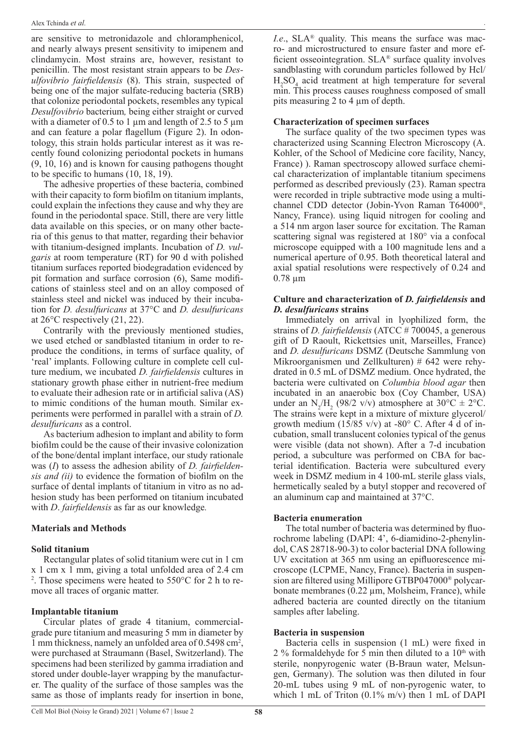are sensitive to metronidazole and chloramphenicol, and nearly always present sensitivity to imipenem and clindamycin. Most strains are, however, resistant to penicillin. The most resistant strain appears to be *Desulfovibrio fairfieldensis* (8). This strain, suspected of being one of the major sulfate-reducing bacteria (SRB) that colonize periodontal pockets, resembles any typical *Desulfovibrio* bacterium*,* being either straight or curved with a diameter of 0.5 to 1  $\mu$ m and length of 2.5 to 5  $\mu$ m and can feature a polar flagellum (Figure 2). In odontology, this strain holds particular interest as it was recently found colonizing periodontal pockets in humans (9, 10, 16) and is known for causing pathogens thought to be specific to humans (10, 18, 19).

The adhesive properties of these bacteria, combined with their capacity to form biofilm on titanium implants, could explain the infections they cause and why they are found in the periodontal space. Still, there are very little data available on this species, or on many other bacteria of this genus to that matter, regarding their behavior with titanium-designed implants. Incubation of *D. vulgaris* at room temperature (RT) for 90 d with polished titanium surfaces reported biodegradation evidenced by pit formation and surface corrosion (6), Same modifications of stainless steel and on an alloy composed of stainless steel and nickel was induced by their incubation for *D. desulfuricans* at 37°C and *D. desulfuricans*  at 26°C respectively (21, 22).

Contrarily with the previously mentioned studies, we used etched or sandblasted titanium in order to reproduce the conditions, in terms of surface quality, of 'real' implants. Following culture in complete cell culture medium, we incubated *D. fairfieldensis* cultures in stationary growth phase either in nutrient-free medium to evaluate their adhesion rate or in artificial saliva (AS) to mimic conditions of the human mouth. Similar experiments were performed in parallel with a strain of *D. desulfuricans* as a control.

As bacterium adhesion to implant and ability to form biofilm could be the cause of their invasive colonization of the bone/dental implant interface, our study rationale was (*I*) to assess the adhesion ability of *D. fairfieldensis and (ii)* to evidence the formation of biofilm on the surface of dental implants of titanium in vitro as no adhesion study has been performed on titanium incubated with *D*. *fairfieldensis* as far as our knowledge*.*

#### **Materials and Methods**

#### **Solid titanium**

Rectangular plates of solid titanium were cut in 1 cm  $x 1$  cm  $x 1$  mm, giving a total unfolded area of 2.4 cm <sup>2</sup>. Those specimens were heated to  $550^{\circ}$ C for 2 h to remove all traces of organic matter.

#### **Implantable titanium**

Circular plates of grade 4 titanium, commercialgrade pure titanium and measuring 5 mm in diameter by 1 mm thickness, namely an unfolded area of 0.5498 cm2 , were purchased at Straumann (Basel, Switzerland). The specimens had been sterilized by gamma irradiation and stored under double-layer wrapping by the manufacturer. The quality of the surface of those samples was the same as those of implants ready for insertion in bone,

*I.e.*, SLA<sup>®</sup> quality. This means the surface was macro- and microstructured to ensure faster and more efficient osseointegration. SLA® surface quality involves sandblasting with corundum particles followed by Hcl/  $H_2SO_4$  acid treatment at high temperature for several min. This process causes roughness composed of small pits measuring 2 to 4 µm of depth.

.

#### **Characterization of specimen surfaces**

The surface quality of the two specimen types was characterized using Scanning Electron Microscopy (A. Kohler, of the School of Medicine core facility, Nancy, France) ). Raman spectroscopy allowed surface chemical characterization of implantable titanium specimens performed as described previously (23). Raman spectra were recorded in triple subtractive mode using a multichannel CDD detector (Jobin-Yvon Raman T64000®, Nancy, France). using liquid nitrogen for cooling and a 514 nm argon laser source for excitation. The Raman scattering signal was registered at 180° via a confocal microscope equipped with a 100 magnitude lens and a numerical aperture of 0.95. Both theoretical lateral and axial spatial resolutions were respectively of 0.24 and 0.78 µm

#### **Culture and characterization of** *D. fairfieldensis* **and**  *D. desulfuricans* **strains**

Immediately on arrival in lyophilized form, the strains of *D. fairfieldensis* (ATCC # 700045, a generous gift of D Raoult, Rickettsies unit, Marseilles, France) and *D. desulfuricans* DSMZ (Deutsche Sammlung von Mikroorganismen und Zellkulturen) # 642 were rehydrated in 0.5 mL of DSMZ medium. Once hydrated, the bacteria were cultivated on *Columbia blood agar* then incubated in an anaerobic box (Coy Chamber, USA) under an N<sub>2</sub>/H<sub>2</sub> (98/2 v/v) atmosphere at 30°C  $\pm$  2°C. The strains were kept in a mixture of mixture glycerol/ growth medium (15/85 v/v) at -80 $\degree$  C. After 4 d of incubation, small translucent colonies typical of the genus were visible (data not shown). After a 7-d incubation period, a subculture was performed on CBA for bacterial identification. Bacteria were subcultured every week in DSMZ medium in 4 100-mL sterile glass vials, hermetically sealed by a butyl stopper and recovered of an aluminum cap and maintained at 37°C.

#### **Bacteria enumeration**

The total number of bacteria was determined by fluorochrome labeling (DAPI: 4', 6-diamidino-2-phenylindol, CAS 28718-90-3) to color bacterial DNA following UV excitation at 365 nm using an epifluorescence microscope (LCPME, Nancy, France). Bacteria in suspension are filtered using Millipore GTBP047000® polycarbonate membranes (0.22 µm, Molsheim, France), while adhered bacteria are counted directly on the titanium samples after labeling.

#### **Bacteria in suspension**

Bacteria cells in suspension (1 mL) were fixed in 2 % formaldehyde for 5 min then diluted to a  $10<sup>th</sup>$  with sterile, nonpyrogenic water (B-Braun water, Melsungen, Germany). The solution was then diluted in four 20-mL tubes using 9 mL of non-pyrogenic water, to which 1 mL of Triton  $(0.1\%$  m/v) then 1 mL of DAPI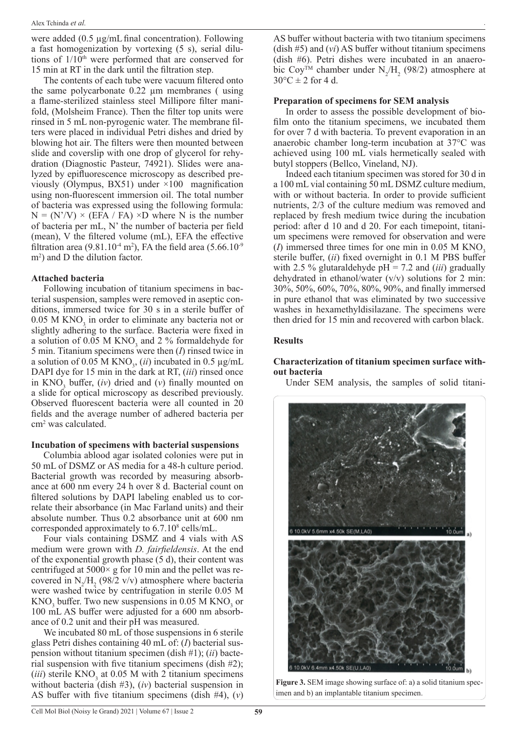were added (0.5 µg/mLfinal concentration). Following a fast homogenization by vortexing (5 s), serial dilutions of  $1/10<sup>th</sup>$  were performed that are conserved for 15 min at RT in the dark until the filtration step.

The contents of each tube were vacuum filtered onto the same polycarbonate 0.22 µm membranes ( using a flame-sterilized stainless steel Millipore filter manifold, (Molsheim France). Then the filter top units were rinsed in 5 mL non-pyrogenic water. The membrane filters were placed in individual Petri dishes and dried by blowing hot air. The filters were then mounted between slide and coverslip with one drop of glycerol for rehydration (Diagnostic Pasteur, 74921). Slides were analyzed by epifluorescence microscopy as described previously (Olympus, BX51) under ×100 magnification using non-fluorescent immersion oil. The total number of bacteria was expressed using the following formula:  $N = (N'/V) \times (EFA / FA) \times D$  where N is the number of bacteria per mL, N' the number of bacteria per field (mean), V the filtered volume (mL), EFA the effective filtration area (9.81.10<sup>-4</sup> m<sup>2</sup>), FA the field area (5.66.10<sup>-9</sup>) m<sup>2</sup>) and D the dilution factor.

#### **Attached bacteria**

Following incubation of titanium specimens in bacterial suspension, samples were removed in aseptic conditions, immersed twice for 30 s in a sterile buffer of  $0.05$  M KNO<sub>3</sub> in order to eliminate any bacteria not or slightly adhering to the surface. Bacteria were fixed in a solution of  $0.05$  M KNO<sub>3</sub> and  $2\%$  formaldehyde for 5 min. Titanium specimens were then (*I*) rinsed twice in a solution of  $0.05$  M KNO<sub>3</sub>, (*ii*) incubated in  $0.5 \mu$ g/mL DAPI dye for 15 min in the dark at RT, (*iii*) rinsed once in  $KNO_3$  buffer,  $(iv)$  dried and  $(v)$  finally mounted on a slide for optical microscopy as described previously. Observed fluorescent bacteria were all counted in 20 fields and the average number of adhered bacteria per cm2 was calculated.

#### **Incubation of specimens with bacterial suspensions**

Columbia ablood agar isolated colonies were put in 50 mL of DSMZ or AS media for a 48-h culture period. Bacterial growth was recorded by measuring absorbance at 600 nm every 24 h over 8 d. Bacterial count on filtered solutions by DAPI labeling enabled us to correlate their absorbance (in Mac Farland units) and their absolute number. Thus 0.2 absorbance unit at 600 nm corresponded approximately to 6.7.10<sup>8</sup> cells/mL.

Four vials containing DSMZ and 4 vials with AS medium were grown with *D. fairfieldensis*. At the end of the exponential growth phase (5 d), their content was centrifuged at  $5000 \times g$  for 10 min and the pellet was recovered in  $N_2/H_2$  (98/2 v/v) atmosphere where bacteria were washed twice by centrifugation in sterile 0.05 M  $\rm{KNO}_3$  buffer. Two new suspensions in 0.05 M  $\rm{KNO}_3$  or 100 mL AS buffer were adjusted for a 600 nm absorbance of 0.2 unit and their pH was measured.

We incubated 80 mL of those suspensions in 6 sterile glass Petri dishes containing 40 mL of: (*I*) bacterial suspension without titanium specimen (dish #1); (*ii*) bacterial suspension with five titanium specimens (dish #2);  $(iii)$  sterile  $KNO_3$  at 0.05 M with 2 titanium specimens without bacteria (dish #3), (*iv*) bacterial suspension in AS buffer with five titanium specimens (dish #4), (*v*)

AS buffer without bacteria with two titanium specimens (dish #5) and (*vi*) AS buffer without titanium specimens (dish #6). Petri dishes were incubated in an anaerobic Coy<sup>TM</sup> chamber under  $N_2/H_2$  (98/2) atmosphere at  $30^{\circ}$ C  $\pm$  2 for 4 d.

.

#### **Preparation of specimens for SEM analysis**

In order to assess the possible development of biofilm onto the titanium specimens, we incubated them for over 7 d with bacteria. To prevent evaporation in an anaerobic chamber long-term incubation at 37°C was achieved using 100 mL vials hermetically sealed with butyl stoppers (Bellco, Vineland, NJ).

Indeed each titanium specimen was stored for 30 d in a 100 mL vial containing 50 mL DSMZ culture medium, with or without bacteria. In order to provide sufficient nutrients, 2/3 of the culture medium was removed and replaced by fresh medium twice during the incubation period: after d 10 and d 20. For each timepoint, titanium specimens were removed for observation and were  $(I)$  immersed three times for one min in 0.05 M KNO<sub>3</sub> sterile buffer, (*ii*) fixed overnight in 0.1 M PBS buffer with 2.5 % glutaraldehyde pH = 7.2 and (*iii*) gradually dehydrated in ethanol/water  $(v/v)$  solutions for 2 min: 30%, 50%, 60%, 70%, 80%, 90%, and finally immersed in pure ethanol that was eliminated by two successive washes in hexamethyldisilazane. The specimens were then dried for 15 min and recovered with carbon black.

#### **Results**

#### **Characterization of titanium specimen surface without bacteria**

Under SEM analysis, the samples of solid titani-



**Figure 3.** SEM image showing surface of: a) a solid titanium specimen and b) an implantable titanium specimen.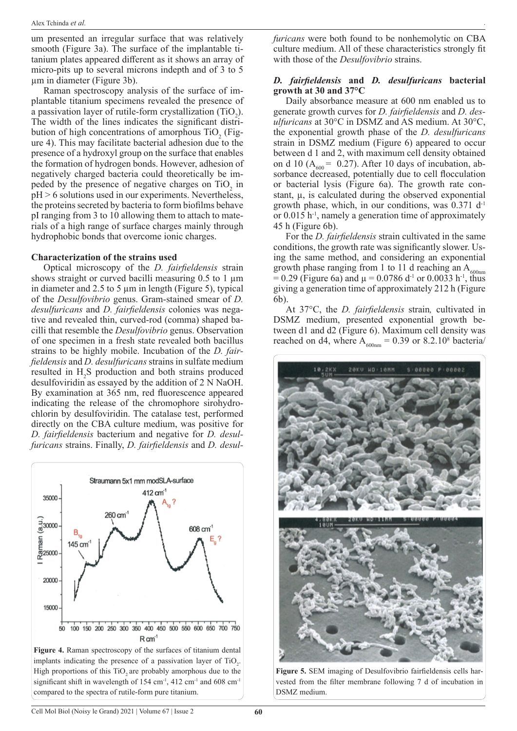um presented an irregular surface that was relatively smooth (Figure 3a). The surface of the implantable titanium plates appeared different as it shows an array of micro-pits up to several microns indepth and of 3 to 5 µm in diameter (Figure 3b).

Raman spectroscopy analysis of the surface of implantable titanium specimens revealed the presence of a passivation layer of rutile-form crystallization  $(TIO_2)$ . The width of the lines indicates the significant distribution of high concentrations of amorphous  $TiO<sub>2</sub>$  (Figure 4). This may facilitate bacterial adhesion due to the presence of a hydroxyl group on the surface that enables the formation of hydrogen bonds. However, adhesion of negatively charged bacteria could theoretically be impeded by the presence of negative charges on  $TiO<sub>2</sub>$  in  $pH > 6$  solutions used in our experiments. Nevertheless, the proteins secreted by bacteria to form biofilms behave pI ranging from 3 to 10 allowing them to attach to materials of a high range of surface charges mainly through hydrophobic bonds that overcome ionic charges.

#### **Characterization of the strains used**

Optical microscopy of the *D. fairfieldensis* strain shows straight or curved bacilli measuring  $0.5$  to 1  $\mu$ m in diameter and 2.5 to 5 µm in length (Figure 5), typical of the *Desulfovibrio* genus. Gram-stained smear of *D. desulfuricans* and *D. fairfieldensis* colonies was negative and revealed thin, curved-rod (comma) shaped bacilli that resemble the *Desulfovibrio* genus. Observation of one specimen in a fresh state revealed both bacillus strains to be highly mobile. Incubation of the *D. fairfieldensis* and *D. desulfuricans* strains in sulfate medium resulted in  $H_2$ S production and both strains produced desulfoviridin as essayed by the addition of 2 N NaOH. By examination at 365 nm, red fluorescence appeared indicating the release of the chromophore sirohydrochlorin by desulfoviridin. The catalase test, performed directly on the CBA culture medium, was positive for *D. fairfieldensis* bacterium and negative for *D. desulfuricans* strains. Finally, *D. fairfieldensis* and *D. desul-*



**Figure 4.** Raman spectroscopy of the surfaces of titanium dental implants indicating the presence of a passivation layer of  $TiO<sub>2</sub>$ . High proportions of this TiO<sub>2</sub> are probably amorphous due to the significant shift in wavelength of 154 cm<sup>-1</sup>, 412 cm<sup>-1</sup> and 608 cm<sup>-1</sup> compared to the spectra of rutile-form pure titanium.

*furicans* were both found to be nonhemolytic on CBA culture medium. All of these characteristics strongly fit with those of the *Desulfovibrio* strains.

.

#### *D. fairfieldensis* **and** *D. desulfuricans* **bacterial growth at 30 and 37°C**

Daily absorbance measure at 600 nm enabled us to generate growth curves for *D. fairfieldensis* and *D. desulfuricans* at 30°C in DSMZ and AS medium. At 30°C, the exponential growth phase of the *D. desulfuricans*  strain in DSMZ medium (Figure 6) appeared to occur between d 1 and 2, with maximum cell density obtained on d 10 ( $A_{600}$  = 0.27). After 10 days of incubation, absorbance decreased, potentially due to cell flocculation or bacterial lysis (Figure 6a). The growth rate constant,  $\mu$ , is calculated during the observed exponential growth phase, which, in our conditions, was  $0.371$  d<sup>-1</sup> or 0.015 h-1, namely a generation time of approximately 45 h (Figure 6b).

For the *D. fairfieldensis* strain cultivated in the same conditions, the growth rate was significantly slower. Using the same method, and considering an exponential growth phase ranging from 1 to 11 d reaching an  $A_{600nm}$  $= 0.29$  (Figure 6a) and  $\mu = 0.0786$  d<sup>-1</sup> or 0.0033 h<sup>-1</sup>, thus giving a generation time of approximately 212 h (Figure 6b).

At 37°C, the *D. fairfieldensis* strain*,* cultivated in DSMZ medium, presented exponential growth between d1 and d2 (Figure 6). Maximum cell density was reached on d4, where  $A_{600nm} = 0.39$  or 8.2.10<sup>8</sup> bacteria/



**Figure 5.** SEM imaging of Desulfovibrio fairfieldensis cells harvested from the filter membrane following 7 d of incubation in DSMZ medium.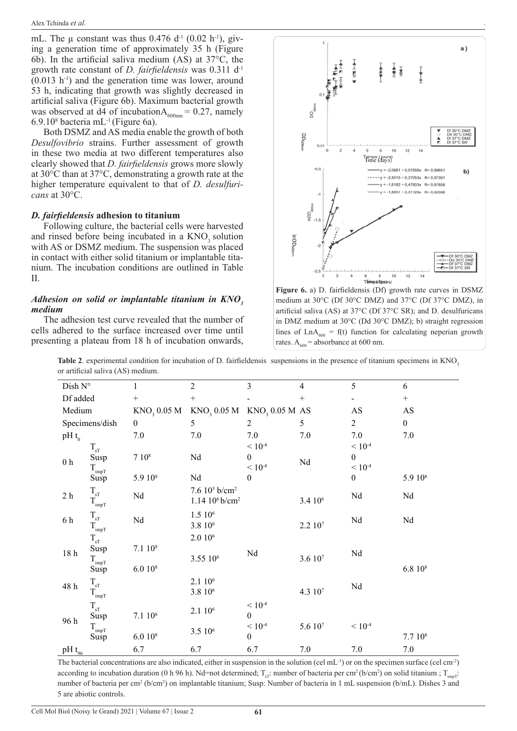mL. The  $\mu$  constant was thus 0.476 d<sup>-1</sup> (0.02 h<sup>-1</sup>), giving a generation time of approximately 35 h (Figure 6b). In the artificial saliva medium (AS) at 37°C, the growth rate constant of *D. fairfieldensis* was 0.311 d-1  $(0.013 \text{ h}^{-1})$  and the generation time was lower, around 53 h, indicating that growth was slightly decreased in artificial saliva (Figure 6b). Maximum bacterial growth was observed at d4 of incubation $A_{600nm} = 0.27$ , namely  $6.9.10<sup>8</sup>$  bacteria mL<sup>-1</sup> (Figure 6a).

Both DSMZ and AS media enable the growth of both *Desulfovibrio* strains. Further assessment of growth in these two media at two different temperatures also clearly showed that *D. fairfieldensis* grows more slowly at 30°C than at 37°C, demonstrating a growth rate at the higher temperature equivalent to that of *D. desulfuricans* at 30°C.

#### *D. fairfieldensis* **adhesion to titanium**

Following culture, the bacterial cells were harvested and rinsed before being incubated in a  $KNO<sub>3</sub>$  solution with AS or DSMZ medium. The suspension was placed in contact with either solid titanium or implantable titanium. The incubation conditions are outlined in Table II.

#### *Adhesion on solid or implantable titanium in KNO<sup>3</sup> medium*

The adhesion test curve revealed that the number of cells adhered to the surface increased over time until presenting a plateau from 18 h of incubation onwards,



.

**Figure 6.** a) D. fairfieldensis (Df) growth rate curves in DSMZ medium at 30°C (Df 30°C DMZ) and 37°C (Df 37°C DMZ), in artificial saliva (AS) at 37°C (Df 37°C SR); and D. desulfuricans in DMZ medium at 30°C (Dd 30°C DMZ); b) straight regression lines of  $LnA_{600} = f(t)$  function for calculating neperian growth rates.  $A_{600}$  = absorbance at 600 nm.

Table 2. experimental condition for incubation of D. fairfieldensis suspensions in the presence of titanium specimens in KNO<sub>3</sub> or artificial saliva (AS) medium.

| Dish $N^{\circ}$       |                                | 1                       | $\overline{2}$                | 3                          | $\overline{4}$      | 5                | 6                                |
|------------------------|--------------------------------|-------------------------|-------------------------------|----------------------------|---------------------|------------------|----------------------------------|
| Df added               |                                | $^{+}$                  | $^{+}$                        |                            | $^{+}$              |                  | $\begin{array}{c} + \end{array}$ |
| Medium                 |                                | KNO <sub>3</sub> 0.05 M | $\mathrm{KNO}_3$ 0.05 M       | KNO <sub>3</sub> 0.05 M AS |                     | AS               | $\mathbf{A}\mathbf{S}$           |
|                        | Specimens/dish                 | $\boldsymbol{0}$        | 5                             | 2                          | 5                   | $\overline{2}$   | $\boldsymbol{0}$                 |
| pH $t_0$               |                                | 7.0                     | 7.0                           | 7.0                        | 7.0                 | 7.0              | 7.0                              |
| $0\ \mathrm{h}$        | $T_{\rm sT}$                   |                         |                               | $< 10^{-4}$                |                     | $< 10^{-4}$      |                                  |
|                        | Susp                           | 7 10 <sup>8</sup>       | Nd                            | $\boldsymbol{0}$           | Nd                  | $\boldsymbol{0}$ |                                  |
|                        | $T_{\rm impT}$                 |                         |                               | $< 10^{-4}$                |                     | $< 10^{-4}$      |                                  |
|                        | Susp                           | 5.9 10 <sup>8</sup>     | Nd                            | $\theta$                   |                     | $\boldsymbol{0}$ | 5.9 10 <sup>8</sup>              |
| $2\ \mathrm{h}$        | $\rm T_{sT}$<br>$T_{\rm impT}$ | Nd                      | 7.6 $10^5$ b/cm <sup>2</sup>  |                            |                     | $\rm Nd$         | Nd                               |
|                        |                                |                         | $1.14~10^6$ b/cm <sup>2</sup> |                            | 3.4 10 <sup>6</sup> |                  |                                  |
| 6 h                    | $T_{\rm sT}$                   |                         | 1.5 10 <sup>6</sup>           |                            |                     | Nd               |                                  |
|                        | $T_{impT}$                     | Nd                      | 3.8 106                       |                            | 2.2 10 <sup>7</sup> |                  | Nd                               |
| 18 <sub>h</sub>        | $T_{\rm sT}$                   |                         | $2.010$ <sup>6</sup>          |                            |                     |                  |                                  |
|                        | Susp                           | 7.1~10 <sup>8</sup>     |                               | Nd                         |                     | Nd               |                                  |
|                        | $T_{impT}$                     |                         | 3.55 106                      |                            | 3.610 <sup>7</sup>  |                  |                                  |
|                        | Susp                           | $6.010^{8}$             |                               |                            |                     |                  | $6.810^{8}$                      |
| 48 h                   | $\rm T_{sT}$                   | 2.1 10 <sup>6</sup>     |                               |                            |                     | Nd               |                                  |
|                        | $T_{impT}$                     |                         | 3.8 10 <sup>6</sup>           |                            | 4.3 107             |                  |                                  |
| 96 h                   | $\rm T_{sT}$                   |                         |                               | $< 10^{-4}$                |                     |                  |                                  |
|                        | Susp                           | 7.1 10 <sup>8</sup>     | 2.1 106                       | $\boldsymbol{0}$           |                     |                  |                                  |
|                        | $T_{impT}$                     |                         |                               | $< 10^{-4}$                | 5.6 107             | $< 10^{-4}$      |                                  |
|                        | Susp                           | $6.010^{8}$             |                               | $\boldsymbol{0}$           |                     |                  | 7.710 <sup>8</sup>               |
| $pH\underline{t_{96}}$ |                                | 6.7                     | 6.7                           | 6.7                        | 7.0                 | 7.0              | 7.0                              |
|                        |                                |                         | 3.5 10 <sup>6</sup>           |                            |                     |                  |                                  |

The bacterial concentrations are also indicated, either in suspension in the solution (cel mL<sup>-1</sup>) or on the specimen surface (cel cm<sup>-2</sup>) according to incubation duration (0 h 96 h). Nd=not determined;  $T_{\rm sT}$ : number of bacteria per cm<sup>2</sup> (b/cm<sup>2</sup>) on solid titanium ;  $T_{\rm impT}$ : number of bacteria per cm<sup>2</sup> (b/cm<sup>2</sup>) on implantable titanium; Susp: Number of bacteria in 1 mL suspension (b/mL). Dishes 3 and 5 are abiotic controls.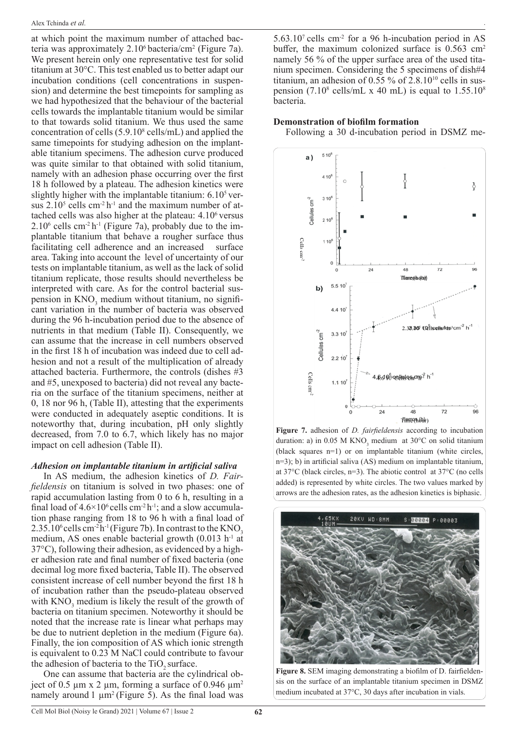at which point the maximum number of attached bacteria was approximately  $2.10^6$  bacteria/cm<sup>2</sup> (Figure 7a). We present herein only one representative test for solid titanium at 30°C. This test enabled us to better adapt our incubation conditions (cell concentrations in suspension) and determine the best timepoints for sampling as we had hypothesized that the behaviour of the bacterial cells towards the implantable titanium would be similar to that towards solid titanium. We thus used the same concentration of cells  $(5.9.10<sup>8</sup>$  cells/mL) and applied the same timepoints for studying adhesion on the implantable titanium specimens. The adhesion curve produced was quite similar to that obtained with solid titanium, namely with an adhesion phase occurring over the first 18 h followed by a plateau. The adhesion kinetics were slightly higher with the implantable titanium:  $6.10<sup>5</sup>$  versus  $2.10^5$  cells cm<sup>-2</sup> h<sup>-1</sup> and the maximum number of attached cells was also higher at the plateau: 4.106 versus  $2.10<sup>6</sup>$  cells cm<sup>-2</sup> h<sup>-1</sup> (Figure 7a), probably due to the implantable titanium that behave a rougher surface thus facilitating cell adherence and an increased surface area. Taking into account the level of uncertainty of our tests on implantable titanium, as well as the lack of solid titanium replicate, those results should nevertheless be interpreted with care. As for the control bacterial suspension in  $KNO_3$  medium without titanium, no significant variation in the number of bacteria was observed during the 96 h-incubation period due to the absence of nutrients in that medium (Table II). Consequently, we can assume that the increase in cell numbers observed in the first 18 h of incubation was indeed due to cell adhesion and not a result of the multiplication of already attached bacteria. Furthermore, the controls (dishes #3 and #5, unexposed to bacteria) did not reveal any bacteria on the surface of the titanium specimens, neither at 0, 18 nor 96 h, (Table II), attesting that the experiments were conducted in adequately aseptic conditions. It is noteworthy that, during incubation, pH only slightly decreased, from 7.0 to 6.7, which likely has no major impact on cell adhesion (Table II).

#### *Adhesion on implantable titanium in artificial saliva*

In AS medium, the adhesion kinetics of *D. Fairfieldensis* on titanium is solved in two phases: one of rapid accumulation lasting from 0 to 6 h, resulting in a final load of  $4.6 \times 10^6$  cells cm<sup>-2</sup> h<sup>-1</sup>; and a slow accumulation phase ranging from 18 to 96 h with a final load of  $2.35.10^6$  cells cm<sup>-2</sup>h<sup>-1</sup> (Figure 7b). In contrast to the KNO<sub>3</sub> medium, AS ones enable bacterial growth  $(0.013 \text{ h}^{-1} \text{ at}$ 37°C), following their adhesion, as evidenced by a higher adhesion rate and final number of fixed bacteria (one decimal log more fixed bacteria, Table II). The observed consistent increase of cell number beyond the first 18 h of incubation rather than the pseudo-plateau observed with  $KNO_3$  medium is likely the result of the growth of bacteria on titanium specimen. Noteworthy it should be noted that the increase rate is linear what perhaps may be due to nutrient depletion in the medium (Figure 6a). Finally, the ion composition of AS which ionic strength is equivalent to 0.23 M NaCl could contribute to favour the adhesion of bacteria to the TiO<sub>2</sub> surface.

One can assume that bacteria are the cylindrical object of 0.5  $\mu$ m x 2  $\mu$ m, forming a surface of 0.946  $\mu$ m<sup>2</sup> namely around 1  $\mu$ m<sup>2</sup> (Figure 5). As the final load was

.  $5.63.10<sup>7</sup>$  cells cm<sup>-2</sup> for a 96 h-incubation period in AS buffer, the maximum colonized surface is  $0.563$  cm<sup>2</sup> namely 56 % of the upper surface area of the used titanium specimen. Considering the 5 specimens of dish#4 titanium, an adhesion of 0.55 % of  $2.8 \cdot 10^{10}$  cells in sus-

#### **Demonstration of biofilm formation**

bacteria.

Following a 30 d-incubation period in DSMZ me-

pension (7.10 $^8$  cells/mL x 40 mL) is equal to 1.55.10 $^8$ 



**Figure 7.** adhesion of *D. fairfieldensis* according to incubation duration: a) in 0.05 M  $KNO_3$  medium at 30°C on solid titanium (black squares n=1) or on implantable titanium (white circles, n=3); b) in artificial saliva (AS) medium on implantable titanium, at 37°C (black circles, n=3). The abiotic control at 37°C (no cells added) is represented by white circles. The two values marked by arrows are the adhesion rates, as the adhesion kinetics is biphasic.



**Figure 8.** SEM imaging demonstrating a biofilm of D. fairfieldensis on the surface of an implantable titanium specimen in DSMZ medium incubated at 37°C, 30 days after incubation in vials.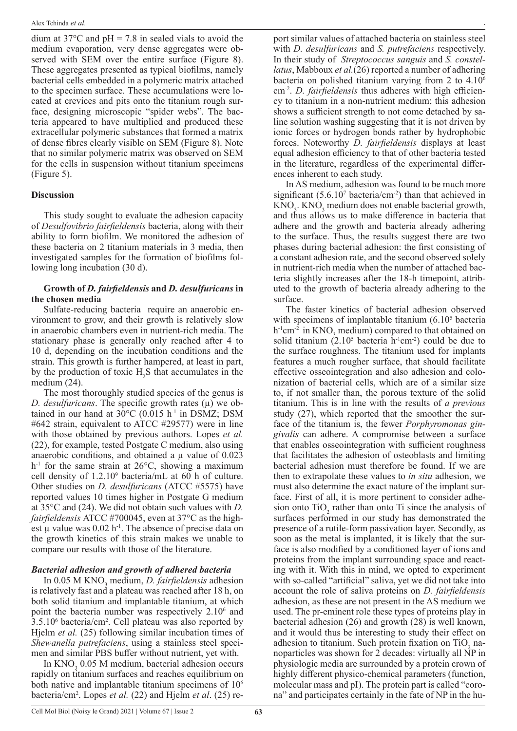dium at  $37^{\circ}$ C and pH = 7.8 in sealed vials to avoid the medium evaporation, very dense aggregates were observed with SEM over the entire surface (Figure 8). These aggregates presented as typical biofilms, namely bacterial cells embedded in a polymeric matrix attached to the specimen surface. These accumulations were located at crevices and pits onto the titanium rough surface, designing microscopic "spider webs". The bacteria appeared to have multiplied and produced these extracellular polymeric substances that formed a matrix of dense fibres clearly visible on SEM (Figure 8). Note that no similar polymeric matrix was observed on SEM for the cells in suspension without titanium specimens (Figure 5).

#### **Discussion**

This study sought to evaluate the adhesion capacity of *Desulfovibrio fairfieldensis* bacteria, along with their ability to form biofilm. We monitored the adhesion of these bacteria on 2 titanium materials in 3 media, then investigated samples for the formation of biofilms following long incubation (30 d).

#### **Growth of** *D. fairfieldensis* **and** *D. desulfuricans* **in the chosen media**

Sulfate-reducing bacteria require an anaerobic environment to grow, and their growth is relatively slow in anaerobic chambers even in nutrient-rich media. The stationary phase is generally only reached after 4 to 10 d, depending on the incubation conditions and the strain. This growth is further hampered, at least in part, by the production of toxic  $H_2S$  that accumulates in the medium (24).

The most thoroughly studied species of the genus is *D. desulfuricans.* The specific growth rates ( $\mu$ ) we obtained in our hand at  $30^{\circ}$ C (0.015 h<sup>-1</sup> in DSMZ; DSM #642 strain, equivalent to ATCC #29577) were in line with those obtained by previous authors. Lopes *et al.*  (22), for example, tested Postgate C medium, also using anaerobic conditions, and obtained a  $\mu$  value of 0.023  $h<sup>-1</sup>$  for the same strain at 26 $\degree$ C, showing a maximum cell density of 1.2.109 bacteria/mL at 60 h of culture. Other studies on *D. desulfuricans* (ATCC #5575) have reported values 10 times higher in Postgate G medium at 35°C and (24). We did not obtain such values with *D. fairfieldensis* ATCC #700045, even at 37°C as the highest u value was  $0.02$  h<sup>-1</sup>. The absence of precise data on the growth kinetics of this strain makes we unable to compare our results with those of the literature.

### *Bacterial adhesion and growth of adhered bacteria*

In 0.05 M KNO<sub>3</sub> medium, *D. fairfieldensis* adhesion is relatively fast and a plateau was reached after 18 h, on both solid titanium and implantable titanium, at which point the bacteria number was respectively 2.10<sup>6</sup> and 3.5.106 bacteria/cm2 . Cell plateau was also reported by Hjelm *et al.* (25) following similar incubation times of *Shewanella putrefaciens*, using a stainless steel specimen and similar PBS buffer without nutrient, yet with.

In  $KNO_3$  0.05 M medium, bacterial adhesion occurs rapidly on titanium surfaces and reaches equilibrium on both native and implantable titanium specimens of  $10<sup>6</sup>$ bacteria/cm2 . Lopes *et al.* (22) and Hjelm *et al*. (25) re-

port similar values of attached bacteria on stainless steel with *D. desulfuricans* and *S. putrefaciens* respectively. In their study of *Streptococcus sanguis* and *S. constellatus*, Mabboux *et al.*(26) reported a number of adhering bacteria on polished titanium varying from 2 to 4.106 cm-2. *D. fairfieldensis* thus adheres with high efficiency to titanium in a non-nutrient medium; this adhesion shows a sufficient strength to not come detached by saline solution washing suggesting that it is not driven by ionic forces or hydrogen bonds rather by hydrophobic forces. Noteworthy *D. fairfieldensis* displays at least equal adhesion efficiency to that of other bacteria tested in the literature, regardless of the experimental differences inherent to each study.

In AS medium, adhesion was found to be much more significant  $(5.6.10<sup>7</sup>$  bacteria/cm<sup>-2</sup>) than that achieved in  $\text{KNO}_3$ .  $\text{KNO}_3$  medium does not enable bacterial growth, and thus allows us to make difference in bacteria that adhere and the growth and bacteria already adhering to the surface. Thus, the results suggest there are two phases during bacterial adhesion: the first consisting of a constant adhesion rate, and the second observed solely in nutrient-rich media when the number of attached bacteria slightly increases after the 18-h timepoint, attributed to the growth of bacteria already adhering to the surface.

The faster kinetics of bacterial adhesion observed with specimens of implantable titanium (6.10<sup>5</sup> bacteria  $h^{-1}$ cm<sup>-2</sup> in KNO<sub>3</sub> medium) compared to that obtained on solid titanium  $(2.10^5 \text{ bacteria } h^{-1} \text{cm}^{-2})$  could be due to the surface roughness. The titanium used for implants features a much rougher surface, that should facilitate effective osseointegration and also adhesion and colonization of bacterial cells, which are of a similar size to, if not smaller than, the porous texture of the solid titanium. This is in line with the results of *a previous* study (27), which reported that the smoother the surface of the titanium is, the fewer *Porphyromonas gingivalis* can adhere. A compromise between a surface that enables osseointegration with sufficient roughness that facilitates the adhesion of osteoblasts and limiting bacterial adhesion must therefore be found. If we are then to extrapolate these values to *in situ* adhesion, we must also determine the exact nature of the implant surface. First of all, it is more pertinent to consider adhesion onto  $TiO<sub>2</sub>$  rather than onto Ti since the analysis of surfaces performed in our study has demonstrated the presence of a rutile-form passivation layer. Secondly, as soon as the metal is implanted, it is likely that the surface is also modified by a conditioned layer of ions and proteins from the implant surrounding space and reacting with it. With this in mind, we opted to experiment with so-called "artificial" saliva, yet we did not take into account the role of saliva proteins on *D. fairfieldensis*  adhesion, as these are not present in the AS medium we used. The pr-eminent role these types of proteins play in bacterial adhesion (26) and growth (28) is well known, and it would thus be interesting to study their effect on adhesion to titanium. Such protein fixation on  $TiO<sub>2</sub>$  nanoparticles was shown for  $2$  decades: virtually all  $\overline{NP}$  in physiologic media are surrounded by a protein crown of highly different physico-chemical parameters (function, molecular mass and pI). The protein part is called "corona" and participates certainly in the fate of NP in the hu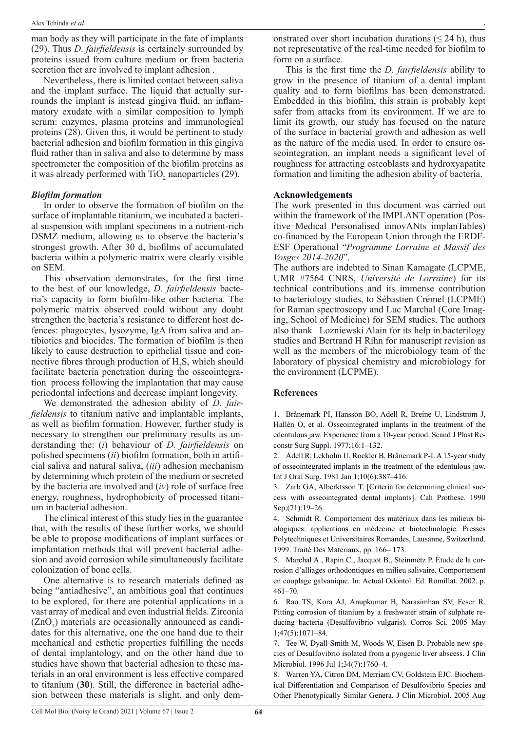man body as they will participate in the fate of implants (29). Thus *D*. *fairfieldensis* is certainely surrounded by proteins issued from culture medium or from bacteria secretion thet are involved to implant adhesion .

Nevertheless, there is limited contact between saliva and the implant surface. The liquid that actually surrounds the implant is instead gingiva fluid, an inflammatory exudate with a similar composition to lymph serum: enzymes, plasma proteins and immunological proteins (28). Given this, it would be pertinent to study bacterial adhesion and biofilm formation in this gingiva fluid rather than in saliva and also to determine by mass spectrometer the composition of the biofilm proteins as it was already performed with  $TiO_2$  nanoparticles (29).

#### *Biofilm formation*

In order to observe the formation of biofilm on the surface of implantable titanium, we incubated a bacterial suspension with implant specimens in a nutrient-rich DSMZ medium, allowing us to observe the bacteria's strongest growth. After 30 d, biofilms of accumulated bacteria within a polymeric matrix were clearly visible on SEM.

This observation demonstrates, for the first time to the best of our knowledge, *D. fairfieldensis* bacteria's capacity to form biofilm-like other bacteria. The polymeric matrix observed could without any doubt strengthen the bacteria's resistance to different host defences: phagocytes, lysozyme, IgA from saliva and antibiotics and biocides. The formation of biofilm is then likely to cause destruction to epithelial tissue and connective fibres through production of  $H_2S$ , which should facilitate bacteria penetration during the osseointegration process following the implantation that may cause periodontal infections and decrease implant longevity.

We demonstrated the adhesion ability of *D. fairfieldensis* to titanium native and implantable implants, as well as biofilm formation. However, further study is necessary to strengthen our preliminary results as understanding the: (*i*) behaviour of *D. fairfieldensis* on polished specimens (*ii*) biofilm formation, both in artificial saliva and natural saliva, (*iii*) adhesion mechanism by determining which protein of the medium or secreted by the bacteria are involved and (*iv*) role of surface free energy, roughness, hydrophobicity of processed titanium in bacterial adhesion.

The clinical interest of this study lies in the guarantee that, with the results of these further works, we should be able to propose modifications of implant surfaces or implantation methods that will prevent bacterial adhesion and avoid corrosion while simultaneously facilitate colonization of bone cells.

One alternative is to research materials defined as being "antiadhesive", an ambitious goal that continues to be explored, for there are potential applications in a vast array of medical and even industrial fields. Zirconia  $(ZnO<sub>2</sub>)$  materials are occasionally announced as candidates for this alternative, one the one hand due to their mechanical and esthetic properties fulfilling the needs of dental implantology, and on the other hand due to studies have shown that bacterial adhesion to these materials in an oral environment is less effective compared to titanium (**30**). Still, the difference in bacterial adhesion between these materials is slight, and only demonstrated over short incubation durations ( $\leq$  24 h), thus not representative of the real-time needed for biofilm to form on a surface.

.

This is the first time the *D. fairfieldensis* ability to grow in the presence of titanium of a dental implant quality and to form biofilms has been demonstrated. Embedded in this biofilm, this strain is probably kept safer from attacks from its environment. If we are to limit its growth, our study has focused on the nature of the surface in bacterial growth and adhesion as well as the nature of the media used. In order to ensure osseointegration, an implant needs a significant level of roughness for attracting osteoblasts and hydroxyapatite formation and limiting the adhesion ability of bacteria.

## **Acknowledgements**

The work presented in this document was carried out within the framework of the IMPLANT operation (Positive Medical Personalised innovANts implanTables) co-financed by the European Union through the ERDF-ESF Operational "*Programme Lorraine et Massif des Vosges 2014-2020*".

The authors are indebted to Sinan Kamagate (LCPME, UMR #7564 CNRS, *Université de Lorraine*) for its technical contributions and its immense contribution to bacteriology studies, to Sébastien Crémel (LCPME) for Raman spectroscopy and Luc Marchal (Core Imaging, School of Medicine) for SEM studies. The authors also thank Lozniewski Alain for its help in bacterilogy studies and Bertrand H Rihn for manuscript revision as well as the members of the microbiology team of the laboratory of physical chemistry and microbiology for the environment (LCPME).

#### **References**

1. Brånemark PI, Hansson BO, Adell R, Breine U, Lindström J, Hallén O, et al. Osseointegrated implants in the treatment of the edentulous jaw. Experience from a 10-year period. Scand J Plast Reconstr Surg Suppl. 1977;16:1–132.

2. Adell R, Lekholm U, Rockler B, Brånemark P-I. A 15-year study of osseointegrated implants in the treatment of the edentulous jaw. Int J Oral Surg. 1981 Jan 1;10(6):387–416.

3. Zarb GA, Alberktsson T. [Criteria for determining clinical success with osseointegrated dental implants]. Cah Prothese. 1990 Sep;(71):19–26.

4. Schmidt R. Comportement des matériaux dans les milieux biologiques: applications en médecine et biotechnologie. Presses Polytechniques et Universitaires Romandes, Lausanne, Switzerland. 1999. Traité Des Materiaux, pp. 166– 173.

5. Marchal A., Rapin C., Jacquot B., Steinmetz P. Étude de la corrosion d'alliages orthodontiques en milieu salivaire. Comportement en couplage galvanique. In: Actual Odontol. Ed. Romillat. 2002. p. 461–70.

6. Rao TS, Kora AJ, Anupkumar B, Narasimhan SV, Feser R. Pitting corrosion of titanium by a freshwater strain of sulphate reducing bacteria (Desulfovibrio vulgaris). Corros Sci. 2005 May 1;47(5):1071–84.

7. Tee W, Dyall-Smith M, Woods W, Eisen D. Probable new species of Desulfovibrio isolated from a pyogenic liver abscess. J Clin Microbiol. 1996 Jul 1;34(7):1760–4.

8. Warren YA, Citron DM, Merriam CV, Goldstein EJC. Biochemical Differentiation and Comparison of Desulfovibrio Species and Other Phenotypically Similar Genera. J Clin Microbiol. 2005 Aug